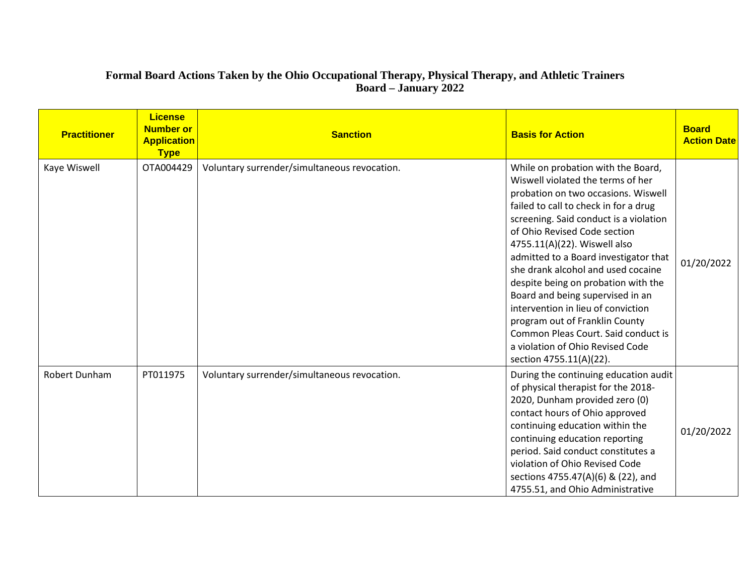## **Formal Board Actions Taken by the Ohio Occupational Therapy, Physical Therapy, and Athletic Trainers Board – January 2022**

| <b>Practitioner</b> | <b>License</b><br><b>Number or</b><br><b>Application</b><br><b>Type</b> | <b>Sanction</b>                              | <b>Basis for Action</b>                                                                                                                                                                                                                                                                                                                                                                                                                                                                                                                                                                                   | <b>Board</b><br><b>Action Date</b> |
|---------------------|-------------------------------------------------------------------------|----------------------------------------------|-----------------------------------------------------------------------------------------------------------------------------------------------------------------------------------------------------------------------------------------------------------------------------------------------------------------------------------------------------------------------------------------------------------------------------------------------------------------------------------------------------------------------------------------------------------------------------------------------------------|------------------------------------|
| Kaye Wiswell        | OTA004429                                                               | Voluntary surrender/simultaneous revocation. | While on probation with the Board,<br>Wiswell violated the terms of her<br>probation on two occasions. Wiswell<br>failed to call to check in for a drug<br>screening. Said conduct is a violation<br>of Ohio Revised Code section<br>4755.11(A)(22). Wiswell also<br>admitted to a Board investigator that<br>she drank alcohol and used cocaine<br>despite being on probation with the<br>Board and being supervised in an<br>intervention in lieu of conviction<br>program out of Franklin County<br>Common Pleas Court. Said conduct is<br>a violation of Ohio Revised Code<br>section 4755.11(A)(22). | 01/20/2022                         |
| Robert Dunham       | PT011975                                                                | Voluntary surrender/simultaneous revocation. | During the continuing education audit<br>of physical therapist for the 2018-<br>2020, Dunham provided zero (0)<br>contact hours of Ohio approved<br>continuing education within the<br>continuing education reporting<br>period. Said conduct constitutes a<br>violation of Ohio Revised Code<br>sections 4755.47(A)(6) & (22), and<br>4755.51, and Ohio Administrative                                                                                                                                                                                                                                   | 01/20/2022                         |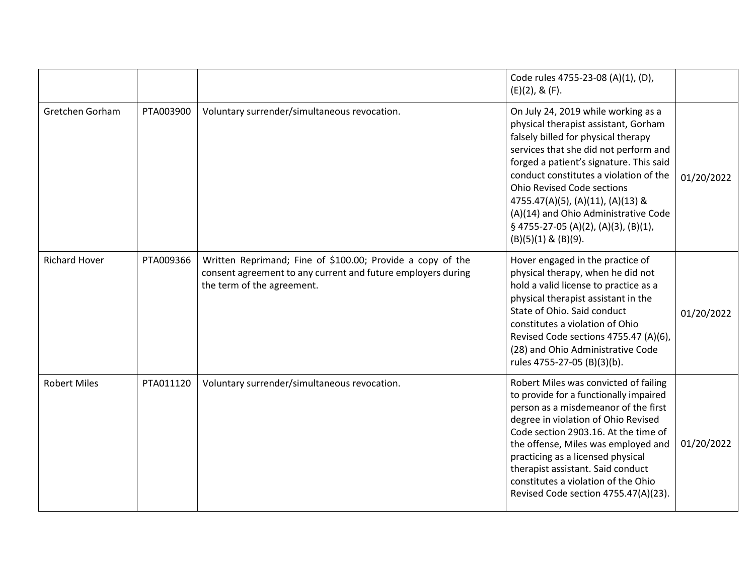|                      |           |                                                                                                                                                          | Code rules 4755-23-08 (A)(1), (D),<br>$(E)(2)$ , & $(F)$ .                                                                                                                                                                                                                                                                                                                                                                                |            |
|----------------------|-----------|----------------------------------------------------------------------------------------------------------------------------------------------------------|-------------------------------------------------------------------------------------------------------------------------------------------------------------------------------------------------------------------------------------------------------------------------------------------------------------------------------------------------------------------------------------------------------------------------------------------|------------|
| Gretchen Gorham      | PTA003900 | Voluntary surrender/simultaneous revocation.                                                                                                             | On July 24, 2019 while working as a<br>physical therapist assistant, Gorham<br>falsely billed for physical therapy<br>services that she did not perform and<br>forged a patient's signature. This said<br>conduct constitutes a violation of the<br><b>Ohio Revised Code sections</b><br>4755.47(A)(5), (A)(11), (A)(13) &<br>(A)(14) and Ohio Administrative Code<br>$\S$ 4755-27-05 (A)(2), (A)(3), (B)(1),<br>$(B)(5)(1)$ & $(B)(9)$ . | 01/20/2022 |
| <b>Richard Hover</b> | PTA009366 | Written Reprimand; Fine of \$100.00; Provide a copy of the<br>consent agreement to any current and future employers during<br>the term of the agreement. | Hover engaged in the practice of<br>physical therapy, when he did not<br>hold a valid license to practice as a<br>physical therapist assistant in the<br>State of Ohio. Said conduct<br>constitutes a violation of Ohio<br>Revised Code sections 4755.47 (A)(6),<br>(28) and Ohio Administrative Code<br>rules 4755-27-05 (B)(3)(b).                                                                                                      | 01/20/2022 |
| <b>Robert Miles</b>  | PTA011120 | Voluntary surrender/simultaneous revocation.                                                                                                             | Robert Miles was convicted of failing<br>to provide for a functionally impaired<br>person as a misdemeanor of the first<br>degree in violation of Ohio Revised<br>Code section 2903.16. At the time of<br>the offense, Miles was employed and<br>practicing as a licensed physical<br>therapist assistant. Said conduct<br>constitutes a violation of the Ohio<br>Revised Code section 4755.47(A)(23).                                    | 01/20/2022 |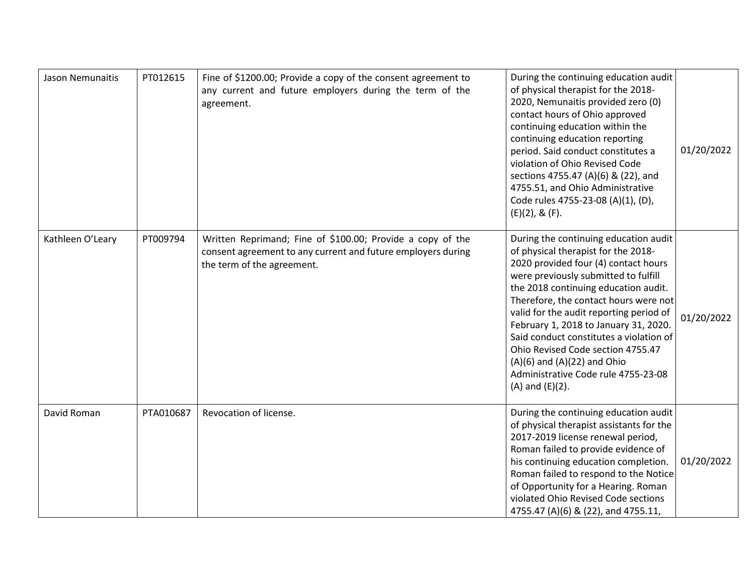| Jason Nemunaitis | PT012615  | Fine of \$1200.00; Provide a copy of the consent agreement to<br>any current and future employers during the term of the<br>agreement.                   | During the continuing education audit<br>of physical therapist for the 2018-<br>2020, Nemunaitis provided zero (0)<br>contact hours of Ohio approved<br>continuing education within the<br>continuing education reporting<br>period. Said conduct constitutes a<br>violation of Ohio Revised Code<br>sections 4755.47 (A)(6) & (22), and<br>4755.51, and Ohio Administrative<br>Code rules 4755-23-08 (A)(1), (D),<br>$(E)(2)$ , & $(F)$ .                                                                          | 01/20/2022 |
|------------------|-----------|----------------------------------------------------------------------------------------------------------------------------------------------------------|---------------------------------------------------------------------------------------------------------------------------------------------------------------------------------------------------------------------------------------------------------------------------------------------------------------------------------------------------------------------------------------------------------------------------------------------------------------------------------------------------------------------|------------|
| Kathleen O'Leary | PT009794  | Written Reprimand; Fine of \$100.00; Provide a copy of the<br>consent agreement to any current and future employers during<br>the term of the agreement. | During the continuing education audit<br>of physical therapist for the 2018-<br>2020 provided four (4) contact hours<br>were previously submitted to fulfill<br>the 2018 continuing education audit.<br>Therefore, the contact hours were not<br>valid for the audit reporting period of<br>February 1, 2018 to January 31, 2020.<br>Said conduct constitutes a violation of<br>Ohio Revised Code section 4755.47<br>$(A)(6)$ and $(A)(22)$ and Ohio<br>Administrative Code rule 4755-23-08<br>$(A)$ and $(E)(2)$ . | 01/20/2022 |
| David Roman      | PTA010687 | Revocation of license.                                                                                                                                   | During the continuing education audit<br>of physical therapist assistants for the<br>2017-2019 license renewal period,<br>Roman failed to provide evidence of<br>his continuing education completion.<br>Roman failed to respond to the Notice<br>of Opportunity for a Hearing. Roman<br>violated Ohio Revised Code sections<br>4755.47 (A)(6) & (22), and 4755.11,                                                                                                                                                 | 01/20/2022 |